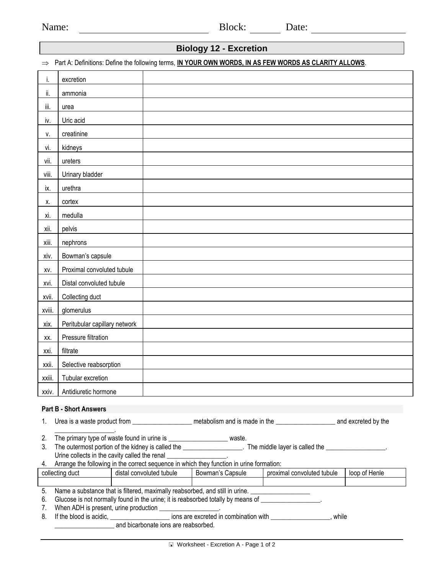| Name: | Block: | Date: |
|-------|--------|-------|
|       |        |       |

## **Biology 12 - Excretion**

⇒ Part A: Definitions: Define the following terms, **IN YOUR OWN WORDS, IN AS FEW WORDS AS CLARITY ALLOWS**.

| i.                            | excretion                                                                                                                                                                                                                                                                                     |  |  |  |  |  |
|-------------------------------|-----------------------------------------------------------------------------------------------------------------------------------------------------------------------------------------------------------------------------------------------------------------------------------------------|--|--|--|--|--|
| ii.                           | ammonia                                                                                                                                                                                                                                                                                       |  |  |  |  |  |
| iii.                          | urea                                                                                                                                                                                                                                                                                          |  |  |  |  |  |
| iv.                           | Uric acid                                                                                                                                                                                                                                                                                     |  |  |  |  |  |
| v.                            | creatinine                                                                                                                                                                                                                                                                                    |  |  |  |  |  |
| vi.                           | kidneys                                                                                                                                                                                                                                                                                       |  |  |  |  |  |
| vii.                          | ureters                                                                                                                                                                                                                                                                                       |  |  |  |  |  |
| viii.                         | Urinary bladder                                                                                                                                                                                                                                                                               |  |  |  |  |  |
| ix.                           | urethra                                                                                                                                                                                                                                                                                       |  |  |  |  |  |
| Х.                            | cortex                                                                                                                                                                                                                                                                                        |  |  |  |  |  |
| xi.                           | medulla                                                                                                                                                                                                                                                                                       |  |  |  |  |  |
| хii.                          | pelvis                                                                                                                                                                                                                                                                                        |  |  |  |  |  |
| xiii.                         | nephrons                                                                                                                                                                                                                                                                                      |  |  |  |  |  |
| xiv.                          | Bowman's capsule                                                                                                                                                                                                                                                                              |  |  |  |  |  |
| XV.                           | Proximal convoluted tubule                                                                                                                                                                                                                                                                    |  |  |  |  |  |
| xvi.                          | Distal convoluted tubule                                                                                                                                                                                                                                                                      |  |  |  |  |  |
| xvii.                         | Collecting duct                                                                                                                                                                                                                                                                               |  |  |  |  |  |
| xviii.                        | glomerulus                                                                                                                                                                                                                                                                                    |  |  |  |  |  |
| xix.                          | Peritubular capillary network                                                                                                                                                                                                                                                                 |  |  |  |  |  |
| XX.                           | Pressure filtration                                                                                                                                                                                                                                                                           |  |  |  |  |  |
| xxi.                          | filtrate                                                                                                                                                                                                                                                                                      |  |  |  |  |  |
| xxii.                         | Selective reabsorption                                                                                                                                                                                                                                                                        |  |  |  |  |  |
| xxiii.                        | Tubular excretion                                                                                                                                                                                                                                                                             |  |  |  |  |  |
|                               | xxiv.   Antidiuretic hormone                                                                                                                                                                                                                                                                  |  |  |  |  |  |
| <b>Part B - Short Answers</b> |                                                                                                                                                                                                                                                                                               |  |  |  |  |  |
| 1.                            | Urea is a waste product from ______________________ metabolism and is made in the ________________________ and excreted by the                                                                                                                                                                |  |  |  |  |  |
| 2.                            |                                                                                                                                                                                                                                                                                               |  |  |  |  |  |
| 3.                            | The primary type of waste found in urine is _______________________ waste.<br>The outermost portion of the kidney is called the _____________________. The middle layer is called the ________________.<br>Urine collects in the cavity called the renal<br>the control of the control of the |  |  |  |  |  |

|  |  | Arrange the following in the correct sequence in which they function in urine formation: |
|--|--|------------------------------------------------------------------------------------------|

| collecting duct                                                              | distal convoluted tubule | Bowman's Capsule | proximal convoluted tubule | loop of Henle |
|------------------------------------------------------------------------------|--------------------------|------------------|----------------------------|---------------|
|                                                                              |                          |                  |                            |               |
| Name a substance that is filtered, maximally reabsorbed, and still in urine. |                          |                  |                            |               |

- 6. Glucose is not normally found in the urine; it is reabsorbed totally by means of \_\_\_\_\_\_\_\_\_\_\_\_\_\_\_\_
- 
- 7. When ADH is present, urine production  $\frac{1}{2}$  ions are  $\epsilon$ ons are excreted in combination with \_\_\_\_\_\_\_\_\_\_\_\_\_\_\_\_, while \_\_\_\_\_\_\_\_\_\_\_\_\_\_\_\_\_\_ and bicarbonate ions are reabsorbed.